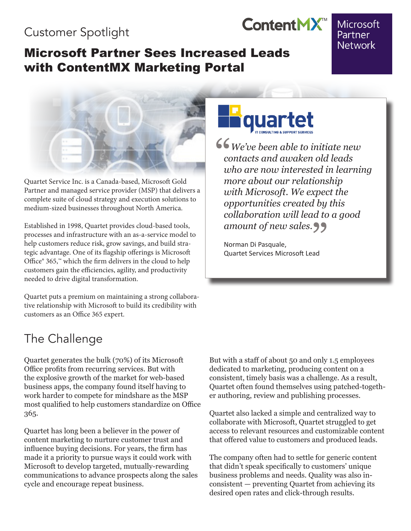## Customer Spotlight

### Microsoft Partner Sees Increased Leads with ContentMX Marketing Portal

#### Microsoft Partner **Network**



Quartet Service Inc. is a Canada-based, Microsoft Gold Partner and managed service provider (MSP) that delivers a complete suite of cloud strategy and execution solutions to medium-sized businesses throughout North America.

Established in 1998, Quartet provides cloud-based tools, processes and infrastructure with an as-a-service model to help customers reduce risk, grow savings, and build strategic advantage. One of its flagship offerings is Microsoft Office® 365,™ which the firm delivers in the cloud to help customers gain the efficiencies, agility, and productivity needed to drive digital transformation.

Quartet puts a premium on maintaining a strong collaborative relationship with Microsoft to build its credibility with customers as an Office 365 expert.

# The Challenge

Quartet generates the bulk (70%) of its Microsoft Office profits from recurring services. But with the explosive growth of the market for web-based business apps, the company found itself having to work harder to compete for mindshare as the MSP most qualified to help customers standardize on Office 365.

Quartet has long been a believer in the power of content marketing to nurture customer trust and influence buying decisions. For years, the firm has made it a priority to pursue ways it could work with Microsoft to develop targeted, mutually-rewarding communications to advance prospects along the sales cycle and encourage repeat business.



ContentMX<sup>™</sup>

 *We've been able to initiate new contacts and awaken old leads who are now interested in learning more about our relationship with Microsoft. We expect the opportunities created by this collaboration will lead to a good*   $\begin{array}{c} 66 \\ c \\ w \end{array}$ 

a*mount of new sales.*<br>Norman Di Pasquale,<br>Quartet Services Microsoft Lead Norman Di Pasquale, Quartet Services Microsoft Lead

But with a staff of about 50 and only 1.5 employees dedicated to marketing, producing content on a consistent, timely basis was a challenge. As a result, Quartet often found themselves using patched-together authoring, review and publishing processes.

Quartet also lacked a simple and centralized way to collaborate with Microsoft, Quartet struggled to get access to relevant resources and customizable content that offered value to customers and produced leads.

The company often had to settle for generic content that didn't speak specifically to customers' unique business problems and needs. Quality was also inconsistent — preventing Quartet from achieving its desired open rates and click-through results.